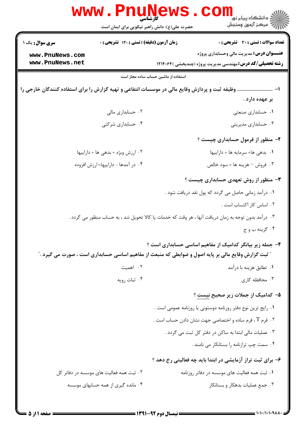|                                                                                                   | د دانشڪاه پيام نو <mark>ر</mark><br>۶- مرڪز آزمون وسنجش<br>کار شناسی<br>حضرت علی(ع): دانش راهبر نیکویی برای ایمان است |  |  |
|---------------------------------------------------------------------------------------------------|-----------------------------------------------------------------------------------------------------------------------|--|--|
| زمان آزمون (دقیقه) : تستی : ۱۲۰ تشریحی : ۰<br><b>سری سوال :</b> یک ۱                              | <b>تعداد سوالات : تستی : 30 ٪ تشریحی : 0</b>                                                                          |  |  |
| www.PnuNews.com                                                                                   | <b>عنـــوان درس:</b> مدیریت مالی وحسابداری پروژه                                                                      |  |  |
| www.PnuNews.net                                                                                   | <b>رشته تحصیلی/کد درس: مهندسی مدیریت پروژه (چندبخشی )۱۲۱۴۰۶۴</b>                                                      |  |  |
|                                                                                                   | استفاده از ماشین حساب ساده مجاز است                                                                                   |  |  |
| ا-  وظیفه ثبت و پردازش وقایع مالی در موسسات انتفاعی و تهیه گزارش را برای استفاده كنندگان خارجی را |                                                                                                                       |  |  |
|                                                                                                   | بر عهده دارد .                                                                                                        |  |  |
| ۰۲ حسابداری مالی                                                                                  | ۰۱ حسابداری صنعتی                                                                                                     |  |  |
| ۰۴ حسابداری شرکتی                                                                                 | ۰۳ حسابداری مدیریتی                                                                                                   |  |  |
|                                                                                                   | ۲- منظور از فرمول حسابداری چیست ؟                                                                                     |  |  |
| ۰۲ ارزش ویژه + بدهی ها = داراییها                                                                 | ١. بدهي ها+ سرمايه ها = داراييها                                                                                      |  |  |
| ۰۴ در آمدها - داراییها=ارزش افزوده                                                                | ۰۳ فروش <sup>—</sup> هزینه ها = سود خالص                                                                              |  |  |
|                                                                                                   | ۳- منظور از روش تعهدی حسابداری چیست ؟                                                                                 |  |  |
|                                                                                                   | ۰۱ درآمد زمانی حاصل می گردد که پول نقد دریافت شود .                                                                   |  |  |
|                                                                                                   | ۰۲ اساس کار اکتساب است .                                                                                              |  |  |
|                                                                                                   | ۰۳ درآمد بدون توجه به زمان دریافت آنها ، هر وقت که خدمات یا کالا تحویل شد ، به حساب منظور می گردد .                   |  |  |
|                                                                                                   | ۰۴ گزينه ب و ج                                                                                                        |  |  |
|                                                                                                   | ۴- جمله زیر بیانگر کدامیک از مفاهیم اساسی حسابداری است ؟                                                              |  |  |
|                                                                                                   | <b>" ثبت گزارش وقایع مالی بر پایه اصول و ضوابطی که منبعث از مفاهیم اساسی حسابداری است ، صورت می گیرد</b> ."           |  |  |
| ٢. اهميت                                                                                          | ۰۱ تطابق هزينه با درآمد                                                                                               |  |  |
| ۰۴ ثبات رويه                                                                                      | ۰۳ محافظه کاری                                                                                                        |  |  |
|                                                                                                   | <b>۵</b> – کدامیک از جملات زیر صحیح نیست ؟                                                                            |  |  |
|                                                                                                   | ۰۱ رایج ترین نوع دفتر روزنامه دوستونی یا روزنامه عمومی است .                                                          |  |  |
|                                                                                                   | ۰۲ فرم T ، فرم ساده و اختصاصی جهت نشان دادن حساب است .                                                                |  |  |
|                                                                                                   | ۰۳ عملیات مالی ابتدا به ساکن در دفتر کل ثبت می گردد .                                                                 |  |  |
|                                                                                                   | ۰۴ سمت چپ ترازنامه را بستانکار می نامند .                                                                             |  |  |
|                                                                                                   | ۶- برای ثبت تراز آزمایشی در ابتدا باید چه فعالیتی رخ دهد ؟                                                            |  |  |
| ۲. ثبت همه فعالیت های موسسه در دفاتر کل                                                           | ۰۱ ثبت همه فعالیت های موسسه در دفاتر روزنامه                                                                          |  |  |
| ۰۴ مانده گیری از همه حسابهای موسسه                                                                | ۰۳ جمع عملیات بدهکار و بستانکار                                                                                       |  |  |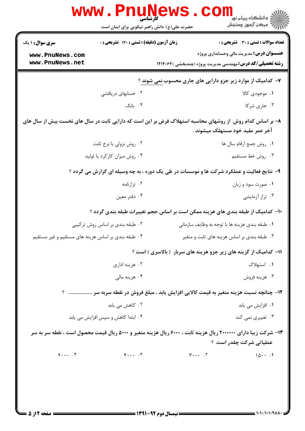| <b>سری سوال :</b> ۱ یک                                                                                         | زمان آزمون (دقیقه) : تستی : ۱۲۰ تشریحی : ۰ |                                                                                          | تعداد سوالات : تستى : 30 - تشريحي : 0            |
|----------------------------------------------------------------------------------------------------------------|--------------------------------------------|------------------------------------------------------------------------------------------|--------------------------------------------------|
| www.PnuNews.com                                                                                                |                                            |                                                                                          | <b>عنـــوان درس:</b> مدیریت مالی وحسابداری پروژه |
| www.PnuNews.net                                                                                                |                                            | <b>رشته تحصیلی/کد درس: مهندسی مدیریت پروژه (چندبخشی )۱۲۱۴۰۶۴</b>                         |                                                  |
|                                                                                                                |                                            | ۷- کدامیک از موارد زیر جزو دارایی های جاری محسوب <u>نمی</u> شوند ؟                       |                                                  |
|                                                                                                                | ۰۲ حسابهای دریافتنی                        |                                                                                          | ١. موجودي کالا                                   |
|                                                                                                                | ۰۴ بانک                                    |                                                                                          | ۰۳ جاری شرکا                                     |
| ۸– بر اساس کدام روش ًاز روشهای محاسبه استهلاک فرض بر این است که دارایی ثابت در سال های نخست بیش از سال های     |                                            |                                                                                          |                                                  |
|                                                                                                                |                                            | آخر عمر مفيد خود مستهلک ميشوند .                                                         |                                                  |
|                                                                                                                | ۰۲ روش نزولی با نرخ ثابت                   |                                                                                          | ٠١. روش جمع ارقام سال ها                         |
|                                                                                                                | ۰۴ روش میزان کارکرد یا تولید               |                                                                                          | ۰۳ روش خط مستقیم                                 |
|                                                                                                                |                                            | ۹- نتایج فعالیت و عملکرد شرکت ها و موسسات در طی یک دوره ، به چه وسیله ای گزارش می گردد ؟ |                                                  |
|                                                                                                                | ۰۲ ترازنامه                                |                                                                                          | ۰۱ صورت سود و زيان                               |
|                                                                                                                | ۰۴ دفتر معين                               |                                                                                          | ۰۳ تراز آزمایشی                                  |
|                                                                                                                |                                            | ∙ا− کدامیک از طبقه بندی های هزینه ممکن است بر اساس حجم تغییرات طبقه بندی گردد ؟          |                                                  |
|                                                                                                                | ۰۲ طبقه بندی بر اساس روش ترکیبی            | ۰۱ طبقه بندی هزینه ها با توجه به وظایف سازمانی                                           |                                                  |
| ۰۴ طبقه بندی بر اساس هزینه های مستقیم و غیر مستقیم                                                             |                                            | ۰۳ طبقه بندی بر اساس هزینه های ثابت و متغیر                                              |                                                  |
|                                                                                                                |                                            | 11- کدامیک از گزینه های زیر جزو هزینه های سربار (بالاسری) است ؟                          |                                                  |
|                                                                                                                | ۰۲ هزینه اداری                             |                                                                                          | ۰۱ استهلاک                                       |
|                                                                                                                | ۰۴ هزینه مالی                              |                                                                                          | ۰۳ هزينه فروش                                    |
|                                                                                                                |                                            | ۱۲- چنانچه نسبت هزینه متغیر به قیمت کالایی افزایش یابد ، مبلغ فروش در نقطه سربه سر  ؟    |                                                  |
| ۰۲ کاهش می یابد                                                                                                |                                            |                                                                                          | ۰۱ افزایش می یابد                                |
|                                                                                                                | ۰۴ ابتدا کاهش و سپس افزایش می یابد         |                                                                                          | ۰۳ تغییری نمی کند                                |
| ۱۳- شرکت زیبا دارای ۲۰۰۰۰۰۰ ریال هزینه ثابت ، ۶۰۰۰ ریال هزینه متغیر و ۵۰۰۰ ریال قیمت محصول است ، نقطه سر به سر |                                            |                                                                                          |                                                  |
|                                                                                                                |                                            |                                                                                          | عملیاتی شرکت چقدر است ؟                          |
| $y \cdots f$                                                                                                   | $F \cdots$ . $T$                           | $\mathbf{r} \cdot \cdot \cdot \cdot \mathbf{v}$                                          | 101                                              |
|                                                                                                                |                                            |                                                                                          |                                                  |
|                                                                                                                |                                            |                                                                                          |                                                  |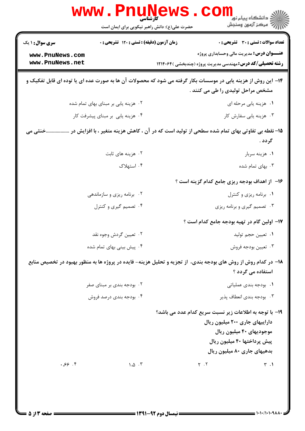|                                    | <b>WWW.Pnune</b><br>حضرت علی(ع): دانش راهبر نیکویی برای ایمان است |                                                                                                                                                    | ڪ دانشڪاه پيا <sub>م</sub> نور<br><mark>√</mark> مرڪز آزمون وسنڊش                                                                        |
|------------------------------------|-------------------------------------------------------------------|----------------------------------------------------------------------------------------------------------------------------------------------------|------------------------------------------------------------------------------------------------------------------------------------------|
| <b>سری سوال :</b> ۱ یک             | زمان آزمون (دقیقه) : تستی : 120 تشریحی : 0                        |                                                                                                                                                    | تعداد سوالات : تستي : 30 ٪ تشريحي : 0                                                                                                    |
| www.PnuNews.com<br>www.PnuNews.net |                                                                   | <b>رشته تحصیلی/کد درس:</b> مهندسی مدیریت پروژه (چندبخشی )۱۲۱۴۰۶۴                                                                                   | <b>عنـــوان درس:</b> مدیریت مالی وحسابداری پروژه                                                                                         |
|                                    |                                                                   | ۱۴– این روش از هزینه یابی در موسسات بکار گرفته می شود که محصولات آن ها به صورت عده ای یا توده ای قابل تفکیک و<br>مشخص مراحل تولیدی را طی می کنند . |                                                                                                                                          |
|                                    | ۰۲ هزینه یابی بر مبنای بهای تمام شده                              |                                                                                                                                                    | ٠١ هزينه يابي مرحله اي                                                                                                                   |
|                                    | ۰۴ هزینه یابی بر مبنای پیشرفت کار                                 |                                                                                                                                                    | ۰۳ هزینه یابی سفارش کار                                                                                                                  |
| خنثی می                            |                                                                   | 1۵– نقطه بی تفاوتی بهای تمام شده سطحی از تولید است که در آن ، کاهش هزینه متغیر ، با افزایش در                                                      | گردد .                                                                                                                                   |
|                                    | ۰۲ هزینه های ثابت                                                 |                                                                                                                                                    | ۰۱ هزينه سربار                                                                                                                           |
|                                    | ۰۴ استهلاک                                                        |                                                                                                                                                    | ۰۳ بهای تمام شده                                                                                                                         |
|                                    |                                                                   | ۱۶– از اهداف بودجه ریزی جامع کدام گزینه است ؟                                                                                                      |                                                                                                                                          |
|                                    | ۰۲ برنامه ریزی و سازماندهی                                        |                                                                                                                                                    | ٠١ برنامه ريزي و كنترل                                                                                                                   |
|                                    | ۰۴ تصمیم گیری و کنترل                                             |                                                                                                                                                    | ۰۳ تصمیم گیری و برنامه ریزی                                                                                                              |
|                                    |                                                                   | ۱۷– اولین گام در تهیه بودجه جامع کدام است ؟                                                                                                        |                                                                                                                                          |
|                                    | ۰۲ تعيين گردش وجوه نقد                                            |                                                                                                                                                    | ٠١. تعيين حجم توليد                                                                                                                      |
|                                    | ۰۴ پیش بینی بهای تمام شده                                         |                                                                                                                                                    | ۰۳ تعیین بودجه فروش                                                                                                                      |
|                                    |                                                                   | ۱۸– در کدام روش از روش های بودجه بندی، از تجزیه و تحلیل هزینه- فایده در پروژه ها به منظور بهبود در تخصیص منابع                                     | استفاده می گردد ؟                                                                                                                        |
|                                    | ۰۲ بودجه بندی بر مبنای صفر                                        |                                                                                                                                                    | ۰۱ بودجه بندی عملیاتی                                                                                                                    |
|                                    | ۰۴ بودجه بندی درصد فروش                                           |                                                                                                                                                    | ۰۳ بودجه بندي انعطاف پذير                                                                                                                |
| .89.8                              | $\Lambda$ . $\Delta$ . ۳                                          | 19- با توجه به اطلاعات زیر نسبت سریع کدام عدد می باشد؟<br>$Y \cdot Y$                                                                              | داراییهای جاری ۲۰۰ میلیون ریال<br>موجودیهای ۴۰ میلیون ریال<br>پیش پرداختها ۴۰ میلیون ریال<br>بدهیهای جاری ۸۰ میلیون ریال<br>$\uparrow$ . |
|                                    |                                                                   |                                                                                                                                                    |                                                                                                                                          |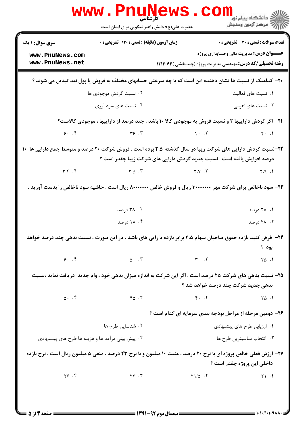|                                                                                                                                                  | www.PnuNews.<br>حضرت علی(ع): دانش راهبر نیکویی برای ایمان است                                                                                                                      |                                                                  | د دانشگاه پيام نو <mark>ر</mark><br>رِ آزمون وسنڊش |
|--------------------------------------------------------------------------------------------------------------------------------------------------|------------------------------------------------------------------------------------------------------------------------------------------------------------------------------------|------------------------------------------------------------------|----------------------------------------------------|
| <b>سری سوال :</b> ۱ یک                                                                                                                           | <b>زمان آزمون (دقیقه) : تستی : 120 تشریحی : 0</b>                                                                                                                                  |                                                                  | تعداد سوالات : تستي : 30 ٪ تشريحي : 0              |
| www.PnuNews.com<br>www.PnuNews.net                                                                                                               |                                                                                                                                                                                    |                                                                  | <b>عنـــوان درس:</b> مدیریت مالی وحسابداری پروژه   |
|                                                                                                                                                  |                                                                                                                                                                                    | <b>رشته تحصیلی/کد درس:</b> مهندسی مدیریت پروژه (چندبخشی )۱۲۱۴۰۶۴ |                                                    |
|                                                                                                                                                  | +۲- کدامیک از نسبت ها نشان دهنده این است که با چه سرعتی حسابهای مختلف به فروش یا پول نقد تبدیل می شوند ؟                                                                           |                                                                  |                                                    |
|                                                                                                                                                  | ۰۲ نسبت گردش موجودی ها                                                                                                                                                             |                                                                  | ۰۱ نسبت های فعالیت                                 |
|                                                                                                                                                  | ۰۴ نسبت های سود آوری                                                                                                                                                               |                                                                  | ۰۳ نسبت های اهرمی                                  |
|                                                                                                                                                  | <b>۲۱</b> - اگر گردش داراییها ۲ و نسبت فروش به موجودی کالا ۱۰ باشد ، چند درصد از داراییها ، موجودی کالاست؟                                                                         |                                                                  |                                                    |
| 9.7                                                                                                                                              | $\tau$ $\varphi$ $\tau$                                                                                                                                                            | $\mathfrak{p}$ . T                                               | $Y - 1$                                            |
|                                                                                                                                                  | ۲۲-نسبت گردش دارایی های شرکت زیبا در سال گذشته ۲،۵ بوده است . فروش شرکت ۲۰ درصد و متوسط جمع دارایی ها ۱۰<br>درصد افزایش یافته است . نسبت جدید گردش دارایی های شرکت زیبا چقدر است ؟ |                                                                  |                                                    |
| $Y. \nabla \cdot Y$                                                                                                                              | $\Upsilon$ . $\Delta$ . $\Upsilon$                                                                                                                                                 | Y. V. T                                                          | Y.9.1                                              |
|                                                                                                                                                  | ۲۳- سود ناخالص برای شرکت مهر ۳۰۰۰۰۰۰۰ ریال و فروش خالص ۸۰۰۰۰۰۰۰ ریال است . حاشیه سود ناخالص را بدست آورید .                                                                        |                                                                  |                                                    |
|                                                                                                                                                  | ۰۲ درصد                                                                                                                                                                            |                                                                  | ۰۱ ۲۸ درصد                                         |
|                                                                                                                                                  | ۰۴ درصد                                                                                                                                                                            |                                                                  | ۴۸ ۰۳ درصد                                         |
|                                                                                                                                                  | <b>۲۴</b> - فرض کنید بازده حقوق صاحبان سهام ۲،۵ برابر بازده دارایی های باشد ، در این صورت ، نسبت بدهی چند درصد خواهد                                                               |                                                                  | بود ؟                                              |
| 9.7                                                                                                                                              | $\Delta$ . $\mathcal{F}$                                                                                                                                                           | $\mathbf{r}$ . $\mathbf{r}$                                      | $\begin{bmatrix} 1 & 0 \\ 0 & 1 \end{bmatrix}$     |
| ۲۵- نسبت بدهی های شرکت ۲۵ درصد است . اگر این شرکت به اندازه میزان بدهی خود ، وام جدید ً دریافت نماید ،نسبت<br>بدهی جدید شرکت چند درصد خواهد شد ؟ |                                                                                                                                                                                    |                                                                  |                                                    |
| $\Delta$ . $\uparrow$                                                                                                                            | $Y \circ \neg Y$                                                                                                                                                                   | $F.$ $.7$                                                        | $\begin{bmatrix} 1 & 0 \\ 0 & 1 \end{bmatrix}$     |
|                                                                                                                                                  |                                                                                                                                                                                    | ۲۶- دومین مرحله از مراحل بودجه بندی سرمایه ای کدام است ؟         |                                                    |
|                                                                                                                                                  | ۰۲ شناسایی طرح ها                                                                                                                                                                  |                                                                  | ۰۱ ارزیابی طرح های پیشنهادی                        |
| ۰۴ پیش بینی درآمد ها و هزینه ها طرح های پیشنهادی                                                                                                 |                                                                                                                                                                                    |                                                                  | ۰۳ انتخاب مناسبترين طرح ها                         |
|                                                                                                                                                  | <b>۲۷- ارزش فعلی خالص پروژه ای با نرخ ۲۰ درصد ، مثبت ۱۰ میلیون و با نرخ ۲۳ درصد ، منفی ۵ میلیون ریال است ، نرخ بازده</b>                                                           |                                                                  | داخلي اين پروژه چقدر است ؟                         |
| Y5.5                                                                                                                                             | $\gamma\gamma$ . $\gamma$                                                                                                                                                          | $Y1/\Delta$ .                                                    | Y1.1                                               |
|                                                                                                                                                  |                                                                                                                                                                                    |                                                                  |                                                    |